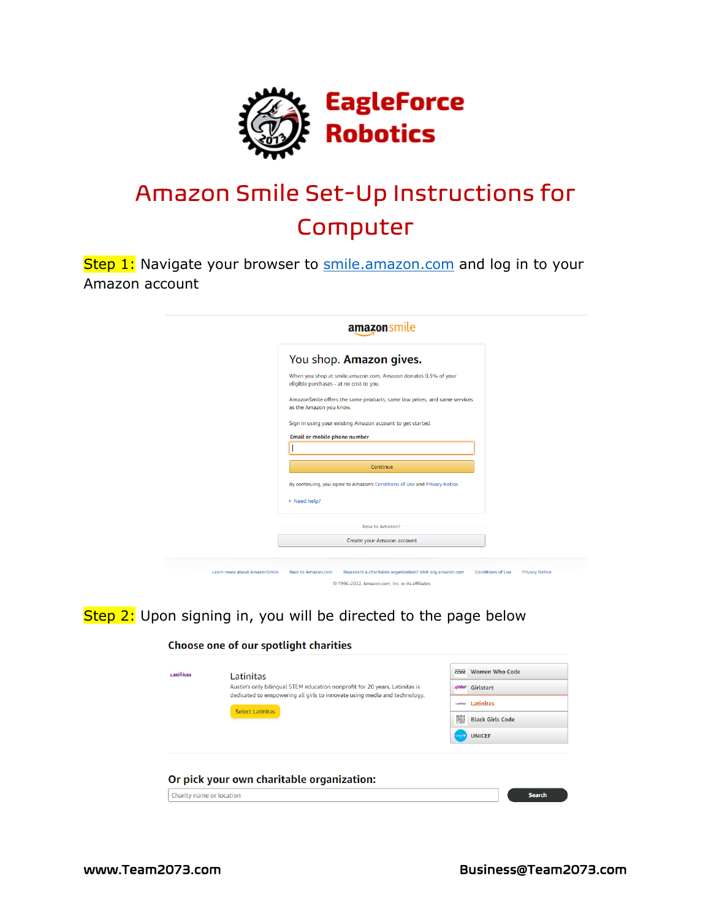

# Amazon Smile Set-Up Instructions for Computer

Step 1: Navigate your browser to [smile.amazon.com](https://smile.amazon.com/) and log in to your Amazon account

|                              | amazonsmile                                                                                               |                                                   |
|------------------------------|-----------------------------------------------------------------------------------------------------------|---------------------------------------------------|
|                              | You shop. Amazon gives.                                                                                   |                                                   |
|                              | When you shop at smile.amazon.com, Amazon donates 0.5% of your<br>eligible purchases - at no cost to you. |                                                   |
|                              | AmazonSmile offers the same products, same low prices, and same services<br>as the Amazon you know.       |                                                   |
|                              | Sign in using your existing Amazon account to get started.<br><b>Email or mobile phone number</b>         |                                                   |
|                              |                                                                                                           |                                                   |
|                              | Continue                                                                                                  |                                                   |
|                              | By continuing, you agree to Amazon's Conditions of Use and Privacy Notice.                                |                                                   |
|                              | ▶ Need help?                                                                                              |                                                   |
|                              | New to Amazon?                                                                                            |                                                   |
|                              | Create your Amazon account                                                                                |                                                   |
| Learn more about AmazonSmile | Represent a charitable organization? Visit org.amazon.com<br><b>Back to Amazon.com</b>                    | <b>Conditions of Use</b><br><b>Privacy Notice</b> |
|                              | © 1996-2022, Amazon.com, Inc. or its affiliates                                                           |                                                   |

Step 2: Upon signing in, you will be directed to the page below

#### Choose one of our spotlight charities

| Latinitas                | Latinitas<br>Austin's only bilingual STEM education nonprofit for 20 years, Latinitas is<br>dedicated to empowering all girls to innovate using media and technology.<br><b>Select Latinitas</b> | CODE Women Who Code<br>girlstart Girlstart<br><b><i>Latinitas</i></b><br>鼺<br><b>Black Girls Code</b> |               |
|--------------------------|--------------------------------------------------------------------------------------------------------------------------------------------------------------------------------------------------|-------------------------------------------------------------------------------------------------------|---------------|
| Charity name or location | Or pick your own charitable organization:                                                                                                                                                        | <b>UNICEF</b><br>urical <sup>®</sup>                                                                  | <b>Search</b> |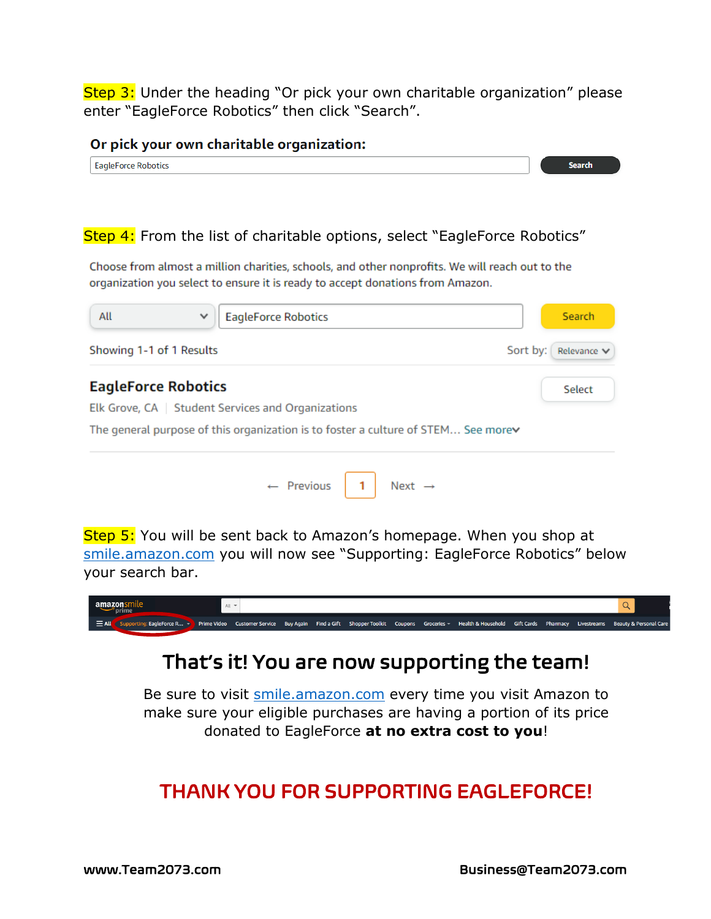Step 3: Under the heading "Or pick your own charitable organization" please enter "EagleForce Robotics" then click "Search".

#### Or pick your own charitable organization:

| Faglet<br><b>IDOTIC</b><br>--<br>-- |  |
|-------------------------------------|--|

### Step 4: From the list of charitable options, select "EagleForce Robotics"

Choose from almost a million charities, schools, and other nonprofits. We will reach out to the organization you select to ensure it is ready to accept donations from Amazon.

| All                        | <b>EagleForce Robotics</b><br>$\checkmark$                                        | <b>Search</b>           |
|----------------------------|-----------------------------------------------------------------------------------|-------------------------|
| Showing 1-1 of 1 Results   |                                                                                   | Sort by:<br>Relevance V |
| <b>EagleForce Robotics</b> |                                                                                   | Select                  |
|                            | Elk Grove, CA   Student Services and Organizations                                |                         |
|                            | The general purpose of this organization is to foster a culture of STEM See morev |                         |
|                            | $\leftarrow$ Previous<br>Next $\rightarrow$                                       |                         |

Step 5: You will be sent back to Amazon's homepage. When you shop at [smile.amazon.com](https://smile.amazon.com/) you will now see "Supporting: EagleForce Robotics" below your search bar.

| amazonsmile<br>prime                                                                                                                                                                                        | $All -$ |  |  |  |  |  |
|-------------------------------------------------------------------------------------------------------------------------------------------------------------------------------------------------------------|---------|--|--|--|--|--|
| $\equiv$ All<br>Supporting: EagleForce R > Prime Video Customer Service Buy Again Find a Gift Shopper Toolkit Coupons Groceries > Health & Household Gift Cards Pharmacy Livestreams Beauty & Personal Care |         |  |  |  |  |  |

## That's it! You are now supporting the team!

Be sure to visit **smile.amazon.com** every time you visit Amazon to make sure your eligible purchases are having a portion of its price donated to EagleForce **at no extra cost to you**!

## THANK YOU FOR SUPPORTING EAGLEFORCE!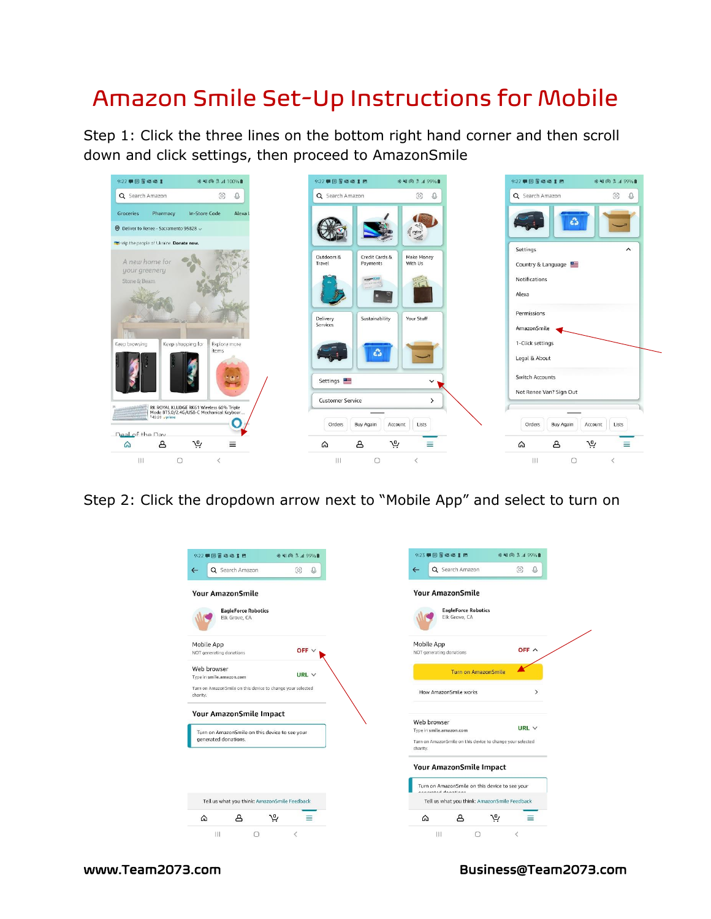## Amazon Smile Set-Up Instructions for Mobile

Step 1: Click the three lines on the bottom right hand corner and then scroll down and click settings, then proceed to AmazonSmile



Step 2: Click the dropdown arrow next to "Mobile App" and select to turn on

| 9:22 甲回同退退了巴<br>※※ 向 5 4 99%■                                          | 9:23 甲国冒魂怪【四                                                                                       | ※※ 向 3 199%■  |
|------------------------------------------------------------------------|----------------------------------------------------------------------------------------------------|---------------|
| Q Search Amazon<br>6<br>O,<br>$\leftarrow$                             | Q Search Amazon<br>$\leftarrow$                                                                    | 6<br>O,       |
| <b>Your AmazonSmile</b>                                                | <b>Your AmazonSmile</b>                                                                            |               |
| <b>EagleForce Robotics</b><br>Elk Grove, CA                            | <b>EagleForce Robotics</b><br>Elk Grove, CA                                                        |               |
| Mobile App<br>OFF $\vee$<br>NOT generating donations                   | Mobile App<br>NOT generating donations                                                             | OFF A         |
| Web browser<br>URL $\vee$<br>Type in smile.amazon.com                  | <b>Turn on AmazonSmile</b>                                                                         |               |
| Turn on AmazonSmile on this device to change your selected<br>charity. | How AmazonSmile works                                                                              | $\mathcal{P}$ |
| Your AmazonSmile Impact                                                | Web browser                                                                                        |               |
| Turn on AmazonSmile on this device to see your<br>generated donations. | Type in smile.amazon.com<br>Turn on AmazonSmile on this device to change your selected<br>charity. | URL $\vee$    |
|                                                                        | Your AmazonSmile Impact                                                                            |               |
|                                                                        | Turn on AmazonSmile on this device to see your<br>announted donations                              |               |
| Tell us what you think: AmazonSmile Feedback                           | Tell us what you think: AmazonSmile Feedback                                                       |               |
| ௮<br>بير<br>⋒<br>≡                                                     | يە<br>௮<br>⋒                                                                                       | ≡             |
| Ш<br>$\overline{\left\langle \right\rangle }$<br>n                     | <br>$\bigcirc$                                                                                     | $\langle$     |

www.Team2073.com Business@Team2073.com